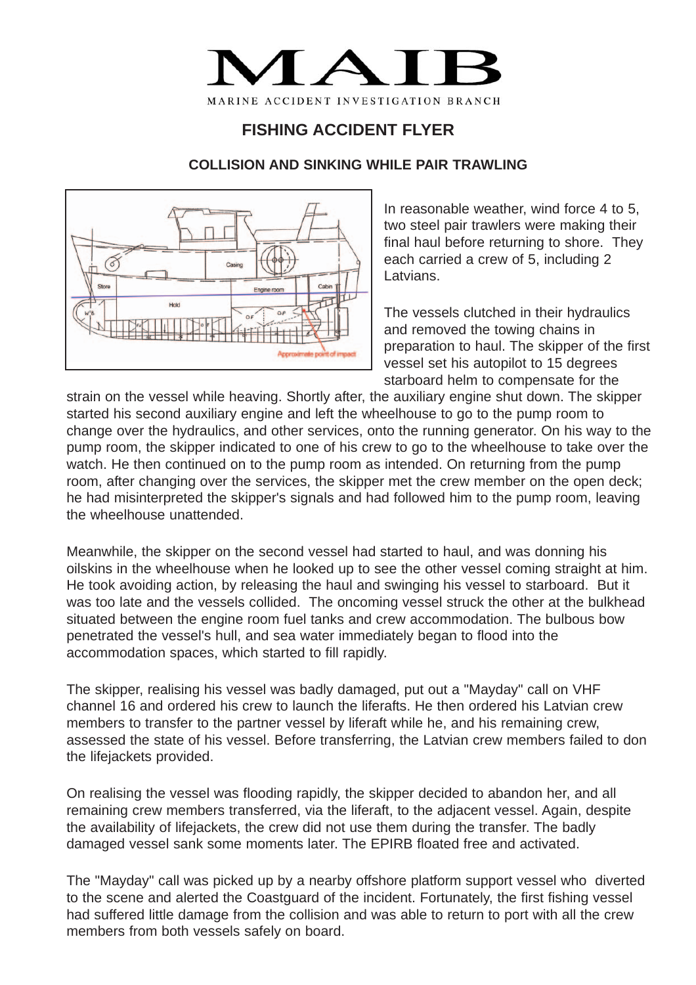

## **FISHING ACCIDENT FLYER**

## **COLLISION AND SINKING WHILE PAIR TRAWLING**



In reasonable weather, wind force 4 to 5, two steel pair trawlers were making their final haul before returning to shore. They each carried a crew of 5, including 2 Latvians.

The vessels clutched in their hydraulics and removed the towing chains in preparation to haul. The skipper of the first vessel set his autopilot to 15 degrees starboard helm to compensate for the

strain on the vessel while heaving. Shortly after, the auxiliary engine shut down. The skipper started his second auxiliary engine and left the wheelhouse to go to the pump room to change over the hydraulics, and other services, onto the running generator. On his way to the pump room, the skipper indicated to one of his crew to go to the wheelhouse to take over the watch. He then continued on to the pump room as intended. On returning from the pump room, after changing over the services, the skipper met the crew member on the open deck; he had misinterpreted the skipper's signals and had followed him to the pump room, leaving the wheelhouse unattended.

Meanwhile, the skipper on the second vessel had started to haul, and was donning his oilskins in the wheelhouse when he looked up to see the other vessel coming straight at him. He took avoiding action, by releasing the haul and swinging his vessel to starboard. But it was too late and the vessels collided. The oncoming vessel struck the other at the bulkhead situated between the engine room fuel tanks and crew accommodation. The bulbous bow penetrated the vessel's hull, and sea water immediately began to flood into the accommodation spaces, which started to fill rapidly.

The skipper, realising his vessel was badly damaged, put out a "Mayday" call on VHF channel 16 and ordered his crew to launch the liferafts. He then ordered his Latvian crew members to transfer to the partner vessel by liferaft while he, and his remaining crew, assessed the state of his vessel. Before transferring, the Latvian crew members failed to don the lifejackets provided.

On realising the vessel was flooding rapidly, the skipper decided to abandon her, and all remaining crew members transferred, via the liferaft, to the adjacent vessel. Again, despite the availability of lifejackets, the crew did not use them during the transfer. The badly damaged vessel sank some moments later. The EPIRB floated free and activated.

The "Mayday" call was picked up by a nearby offshore platform support vessel who diverted to the scene and alerted the Coastguard of the incident. Fortunately, the first fishing vessel had suffered little damage from the collision and was able to return to port with all the crew members from both vessels safely on board.